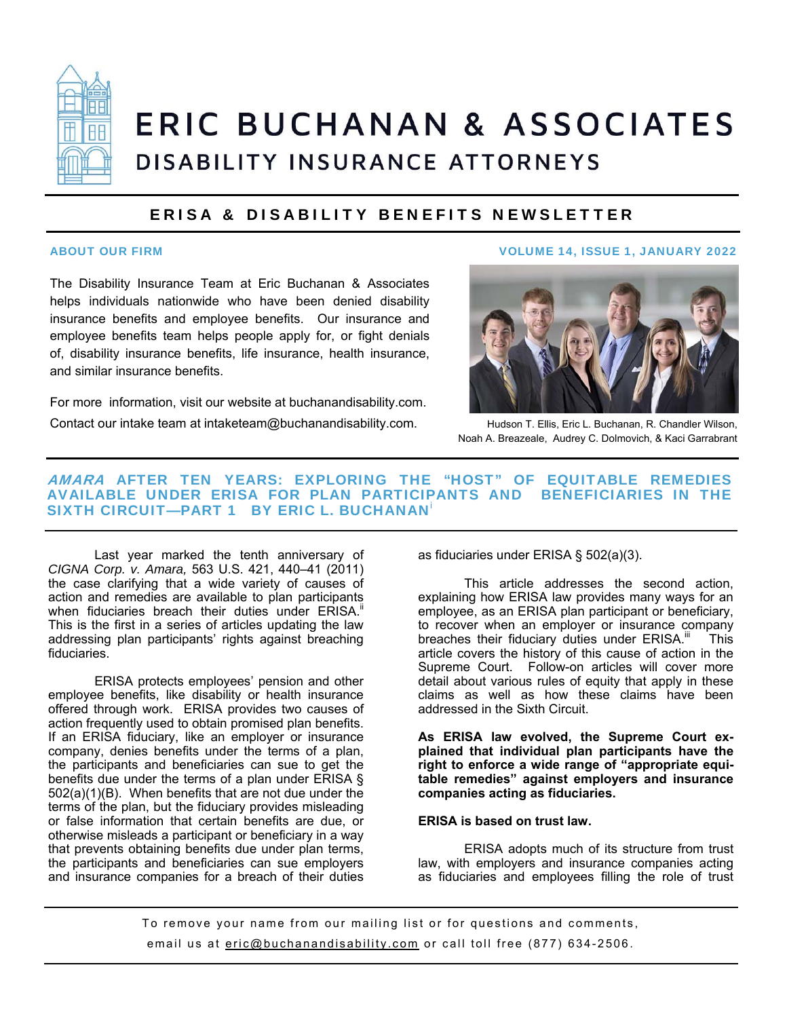

# **ERIC BUCHANAN & ASSOCIATES** DISABILITY INSURANCE ATTORNEYS

### ERISA & DISABILITY BENEFITS NEWSLETTER

The Disability Insurance Team at Eric Buchanan & Associates helps individuals nationwide who have been denied disability insurance benefits and employee benefits. Our insurance and employee benefits team helps people apply for, or fight denials of, disability insurance benefits, life insurance, health insurance, and similar insurance benefits.

For more information, visit our website at buchanandisability.com. Contact our intake team at intaketeam@buchanandisability.com.

#### ABOUT OUR FIRM VOLUME 14, ISSUE 1, JANUARY 2022



Hudson T. Ellis, Eric L. Buchanan, R. Chandler Wilson, Noah A. Breazeale, Audrey C. Dolmovich, & Kaci Garrabrant

#### AMARA AFTER TEN YEARS: EXPLORING THE "HOST" OF EQUITABLE REMEDIES AVAILABLE UNDER ERISA FOR PLAN PARTICIPANTS AND BENEFICIARIES IN THE SIXTH CIRCUIT—PART 1 BY ERIC L. BUCHANAN<sup>i</sup>

 Last year marked the tenth anniversary of *CIGNA Corp. v. Amara,* 563 U.S. 421, 440–41 (2011) the case clarifying that a wide variety of causes of action and remedies are available to plan participants when fiduciaries breach their duties under ERISA.<sup>1</sup> This is the first in a series of articles updating the law addressing plan participants' rights against breaching fiduciaries.

 ERISA protects employees' pension and other employee benefits, like disability or health insurance offered through work. ERISA provides two causes of action frequently used to obtain promised plan benefits. If an ERISA fiduciary, like an employer or insurance company, denies benefits under the terms of a plan, the participants and beneficiaries can sue to get the benefits due under the terms of a plan under ERISA § 502(a)(1)(B). When benefits that are not due under the terms of the plan, but the fiduciary provides misleading or false information that certain benefits are due, or otherwise misleads a participant or beneficiary in a way that prevents obtaining benefits due under plan terms, the participants and beneficiaries can sue employers and insurance companies for a breach of their duties as fiduciaries under ERISA § 502(a)(3).

 This article addresses the second action, explaining how ERISA law provides many ways for an employee, as an ERISA plan participant or beneficiary, to recover when an employer or insurance company breaches their fiduciary duties under ERISA.<sup>iii</sup> This article covers the history of this cause of action in the Supreme Court. Follow-on articles will cover more detail about various rules of equity that apply in these claims as well as how these claims have been addressed in the Sixth Circuit.

**As ERISA law evolved, the Supreme Court explained that individual plan participants have the right to enforce a wide range of "appropriate equitable remedies" against employers and insurance companies acting as fiduciaries.** 

#### **ERISA is based on trust law.**

ERISA adopts much of its structure from trust law, with employers and insurance companies acting as fiduciaries and employees filling the role of trust

To remove your name from our mailing list or for questions and comments, email us at eric@buchanandisability.com or call toll free (877) 634-2506.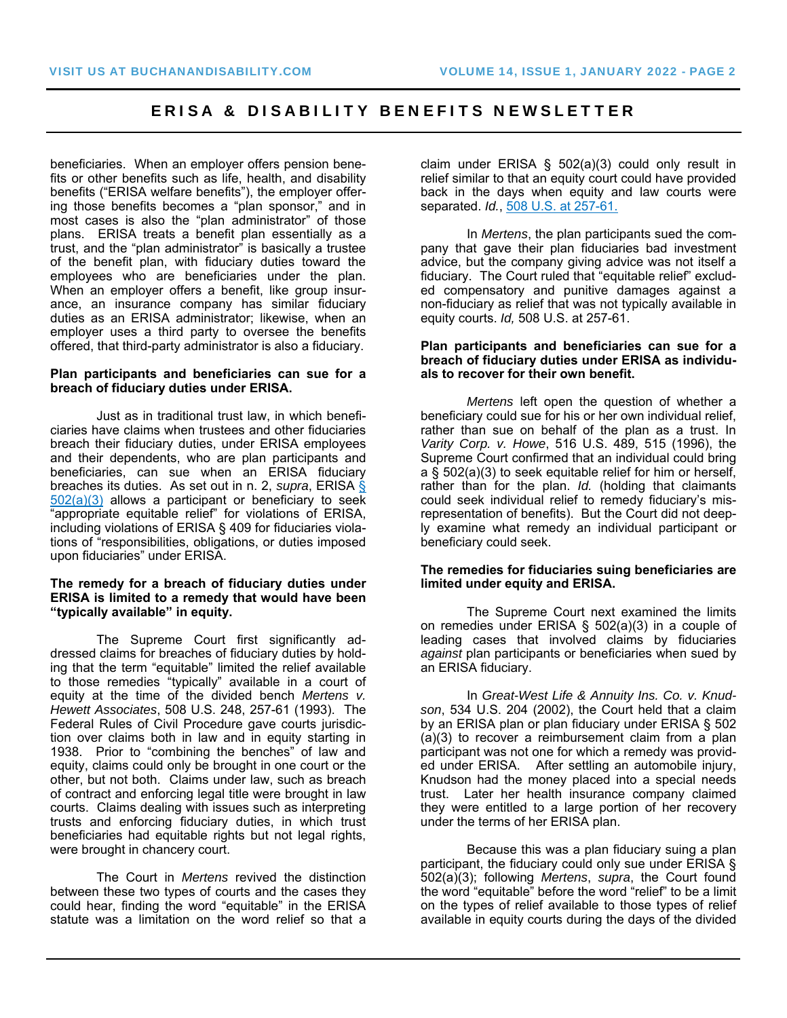beneficiaries. When an employer offers pension benefits or other benefits such as life, health, and disability benefits ("ERISA welfare benefits"), the employer offering those benefits becomes a "plan sponsor," and in most cases is also the "plan administrator" of those plans. ERISA treats a benefit plan essentially as a trust, and the "plan administrator" is basically a trustee of the benefit plan, with fiduciary duties toward the employees who are beneficiaries under the plan. When an employer offers a benefit, like group insurance, an insurance company has similar fiduciary duties as an ERISA administrator; likewise, when an employer uses a third party to oversee the benefits offered, that third-party administrator is also a fiduciary.

#### **Plan participants and beneficiaries can sue for a breach of fiduciary duties under ERISA.**

Just as in traditional trust law, in which beneficiaries have claims when trustees and other fiduciaries breach their fiduciary duties, under ERISA employees and their dependents, who are plan participants and beneficiaries, can sue when an ERISA fiduciary breaches its duties. As set out in n. 2, *supra*, ERISA §  $502(a)(3)$  allows a participant or beneficiary to seek "appropriate equitable relief" for violations of ERISA, including violations of ERISA § 409 for fiduciaries violations of "responsibilities, obligations, or duties imposed upon fiduciaries" under ERISA.

#### **The remedy for a breach of fiduciary duties under ERISA is limited to a remedy that would have been "typically available" in equity.**

The Supreme Court first significantly addressed claims for breaches of fiduciary duties by holding that the term "equitable" limited the relief available to those remedies "typically" available in a court of equity at the time of the divided bench *Mertens v. Hewett Associates*, 508 U.S. 248, 257-61 (1993). The Federal Rules of Civil Procedure gave courts jurisdiction over claims both in law and in equity starting in 1938. Prior to "combining the benches" of law and equity, claims could only be brought in one court or the other, but not both. Claims under law, such as breach of contract and enforcing legal title were brought in law courts. Claims dealing with issues such as interpreting trusts and enforcing fiduciary duties, in which trust beneficiaries had equitable rights but not legal rights, were brought in chancery court.

The Court in *Mertens* revived the distinction between these two types of courts and the cases they could hear, finding the word "equitable" in the ERISA statute was a limitation on the word relief so that a

claim under ERISA § 502(a)(3) could only result in relief similar to that an equity court could have provided back in the days when equity and law courts were separated. *Id.*, 508 U.S. at 257-61.

In *Mertens*, the plan participants sued the company that gave their plan fiduciaries bad investment advice, but the company giving advice was not itself a fiduciary. The Court ruled that "equitable relief" excluded compensatory and punitive damages against a non-fiduciary as relief that was not typically available in equity courts. *Id,* 508 U.S. at 257-61.

#### **Plan participants and beneficiaries can sue for a breach of fiduciary duties under ERISA as individuals to recover for their own benefit.**

*Mertens* left open the question of whether a beneficiary could sue for his or her own individual relief, rather than sue on behalf of the plan as a trust. In *Varity Corp. v. Howe*, 516 U.S. 489, 515 (1996), the Supreme Court confirmed that an individual could bring a § 502(a)(3) to seek equitable relief for him or herself, rather than for the plan. *Id.* (holding that claimants could seek individual relief to remedy fiduciary's misrepresentation of benefits). But the Court did not deeply examine what remedy an individual participant or beneficiary could seek.

#### **The remedies for fiduciaries suing beneficiaries are limited under equity and ERISA.**

The Supreme Court next examined the limits on remedies under ERISA § 502(a)(3) in a couple of leading cases that involved claims by fiduciaries *against* plan participants or beneficiaries when sued by an ERISA fiduciary.

In *Great-West Life & Annuity Ins. Co. v. Knudson*, 534 U.S. 204 (2002), the Court held that a claim by an ERISA plan or plan fiduciary under ERISA § 502 (a)(3) to recover a reimbursement claim from a plan participant was not one for which a remedy was provided under ERISA. After settling an automobile injury, Knudson had the money placed into a special needs trust. Later her health insurance company claimed they were entitled to a large portion of her recovery under the terms of her ERISA plan.

Because this was a plan fiduciary suing a plan participant, the fiduciary could only sue under ERISA § 502(a)(3); following *Mertens*, *supra*, the Court found the word "equitable" before the word "relief" to be a limit on the types of relief available to those types of relief available in equity courts during the days of the divided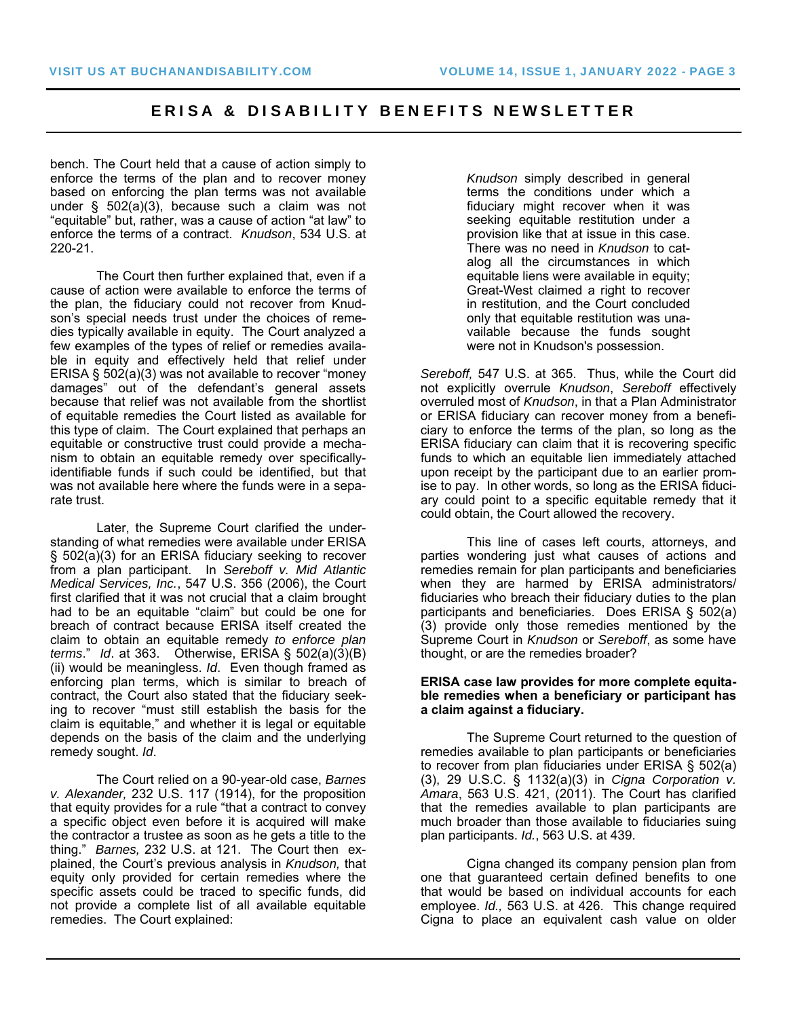bench. The Court held that a cause of action simply to enforce the terms of the plan and to recover money based on enforcing the plan terms was not available under § 502(a)(3), because such a claim was not "equitable" but, rather, was a cause of action "at law" to enforce the terms of a contract. *Knudson*, 534 U.S. at 220-21.

The Court then further explained that, even if a cause of action were available to enforce the terms of the plan, the fiduciary could not recover from Knudson's special needs trust under the choices of remedies typically available in equity. The Court analyzed a few examples of the types of relief or remedies available in equity and effectively held that relief under ERISA § 502(a)(3) was not available to recover "money damages" out of the defendant's general assets because that relief was not available from the shortlist of equitable remedies the Court listed as available for this type of claim. The Court explained that perhaps an equitable or constructive trust could provide a mechanism to obtain an equitable remedy over specificallyidentifiable funds if such could be identified, but that was not available here where the funds were in a separate trust.

Later, the Supreme Court clarified the understanding of what remedies were available under ERISA § 502(a)(3) for an ERISA fiduciary seeking to recover from a plan participant. In *Sereboff v. Mid Atlantic Medical Services, Inc.*, 547 U.S. 356 (2006), the Court first clarified that it was not crucial that a claim brought had to be an equitable "claim" but could be one for breach of contract because ERISA itself created the claim to obtain an equitable remedy *to enforce plan terms*." *Id*. at 363. Otherwise, ERISA § 502(a)(3)(B) (ii) would be meaningless. *Id*. Even though framed as enforcing plan terms, which is similar to breach of contract, the Court also stated that the fiduciary seeking to recover "must still establish the basis for the claim is equitable," and whether it is legal or equitable depends on the basis of the claim and the underlying remedy sought. *Id*.

The Court relied on a 90-year-old case, *Barnes v. Alexander,* 232 U.S. 117 (1914), for the proposition that equity provides for a rule "that a contract to convey a specific object even before it is acquired will make the contractor a trustee as soon as he gets a title to the thing." *Barnes,* 232 U.S. at 121. The Court then explained, the Court's previous analysis in *Knudson,* that equity only provided for certain remedies where the specific assets could be traced to specific funds, did not provide a complete list of all available equitable remedies. The Court explained:

*Knudson* simply described in general terms the conditions under which a fiduciary might recover when it was seeking equitable restitution under a provision like that at issue in this case. There was no need in *Knudson* to catalog all the circumstances in which equitable liens were available in equity; Great-West claimed a right to recover in restitution, and the Court concluded only that equitable restitution was unavailable because the funds sought were not in Knudson's possession.

*Sereboff,* 547 U.S. at 365. Thus, while the Court did not explicitly overrule *Knudson*, *Sereboff* effectively overruled most of *Knudson*, in that a Plan Administrator or ERISA fiduciary can recover money from a beneficiary to enforce the terms of the plan, so long as the ERISA fiduciary can claim that it is recovering specific funds to which an equitable lien immediately attached upon receipt by the participant due to an earlier promise to pay. In other words, so long as the ERISA fiduciary could point to a specific equitable remedy that it could obtain, the Court allowed the recovery.

This line of cases left courts, attorneys, and parties wondering just what causes of actions and remedies remain for plan participants and beneficiaries when they are harmed by ERISA administrators/ fiduciaries who breach their fiduciary duties to the plan participants and beneficiaries. Does ERISA § 502(a) (3) provide only those remedies mentioned by the Supreme Court in *Knudson* or *Sereboff*, as some have thought, or are the remedies broader?

#### **ERISA case law provides for more complete equitable remedies when a beneficiary or participant has a claim against a fiduciary.**

The Supreme Court returned to the question of remedies available to plan participants or beneficiaries to recover from plan fiduciaries under ERISA § 502(a) (3), 29 U.S.C. § 1132(a)(3) in *Cigna Corporation v. Amara*, 563 U.S. 421, (2011). The Court has clarified that the remedies available to plan participants are much broader than those available to fiduciaries suing plan participants. *Id.*, 563 U.S. at 439.

Cigna changed its company pension plan from one that guaranteed certain defined benefits to one that would be based on individual accounts for each employee. *Id.,* 563 U.S. at 426. This change required Cigna to place an equivalent cash value on older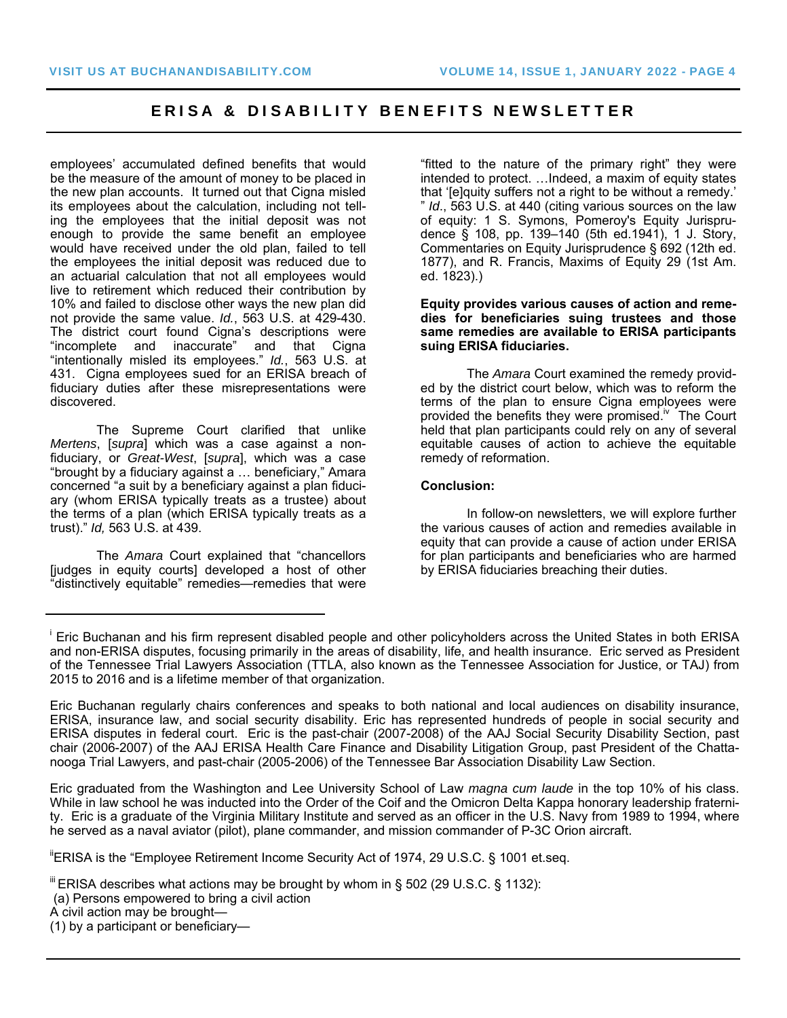employees' accumulated defined benefits that would be the measure of the amount of money to be placed in the new plan accounts. It turned out that Cigna misled its employees about the calculation, including not telling the employees that the initial deposit was not enough to provide the same benefit an employee would have received under the old plan, failed to tell the employees the initial deposit was reduced due to an actuarial calculation that not all employees would live to retirement which reduced their contribution by 10% and failed to disclose other ways the new plan did not provide the same value. *Id.*, 563 U.S. at 429-430. The district court found Cigna's descriptions were "incomplete and inaccurate" and that Cigna "intentionally misled its employees." *Id.*, 563 U.S. at 431. Cigna employees sued for an ERISA breach of fiduciary duties after these misrepresentations were discovered.

The Supreme Court clarified that unlike *Mertens*, [*supra*] which was a case against a nonfiduciary, or *Great-West*, [*supra*], which was a case "brought by a fiduciary against a … beneficiary," Amara concerned "a suit by a beneficiary against a plan fiduciary (whom ERISA typically treats as a trustee) about the terms of a plan (which ERISA typically treats as a trust)." *Id,* 563 U.S. at 439.

The *Amara* Court explained that "chancellors [judges in equity courts] developed a host of other "distinctively equitable" remedies—remedies that were

"fitted to the nature of the primary right" they were intended to protect. …Indeed, a maxim of equity states that '[e]quity suffers not a right to be without a remedy.' " *Id*., 563 U.S. at 440 (citing various sources on the law of equity: 1 S. Symons, Pomeroy's Equity Jurisprudence § 108, pp. 139–140 (5th ed.1941), 1 J. Story, Commentaries on Equity Jurisprudence § 692 (12th ed. 1877), and R. Francis, Maxims of Equity 29 (1st Am. ed. 1823).)

#### **Equity provides various causes of action and remedies for beneficiaries suing trustees and those same remedies are available to ERISA participants suing ERISA fiduciaries.**

The *Amara* Court examined the remedy provided by the district court below, which was to reform the terms of the plan to ensure Cigna employees were provided the benefits they were promised.<sup>iv</sup> The Court held that plan participants could rely on any of several equitable causes of action to achieve the equitable remedy of reformation.

#### **Conclusion:**

 In follow-on newsletters, we will explore further the various causes of action and remedies available in equity that can provide a cause of action under ERISA for plan participants and beneficiaries who are harmed by ERISA fiduciaries breaching their duties.

Eric graduated from the Washington and Lee University School of Law *magna cum laude* in the top 10% of his class. While in law school he was inducted into the Order of the Coif and the Omicron Delta Kappa honorary leadership fraternity. Eric is a graduate of the Virginia Military Institute and served as an officer in the U.S. Navy from 1989 to 1994, where he served as a naval aviator (pilot), plane commander, and mission commander of P-3C Orion aircraft.

"ERISA is the "Employee Retirement Income Security Act of 1974, 29 U.S.C. § 1001 et.seq.

i Eric Buchanan and his firm represent disabled people and other policyholders across the United States in both ERISA and non-ERISA disputes, focusing primarily in the areas of disability, life, and health insurance. Eric served as President of the Tennessee Trial Lawyers Association (TTLA, also known as the Tennessee Association for Justice, or TAJ) from 2015 to 2016 and is a lifetime member of that organization.

Eric Buchanan regularly chairs conferences and speaks to both national and local audiences on disability insurance, ERISA, insurance law, and social security disability. Eric has represented hundreds of people in social security and ERISA disputes in federal court. Eric is the past-chair (2007-2008) of the AAJ Social Security Disability Section, past chair (2006-2007) of the AAJ ERISA Health Care Finance and Disability Litigation Group, past President of the Chattanooga Trial Lawyers, and past-chair (2005-2006) of the Tennessee Bar Association Disability Law Section.

 $\text{I}^{\text{II}}$  ERISA describes what actions may be brought by whom in § 502 (29 U.S.C. § 1132):

 <sup>(</sup>a) Persons empowered to bring a civil action

A civil action may be brought—

<sup>(1)</sup> by a participant or beneficiary—